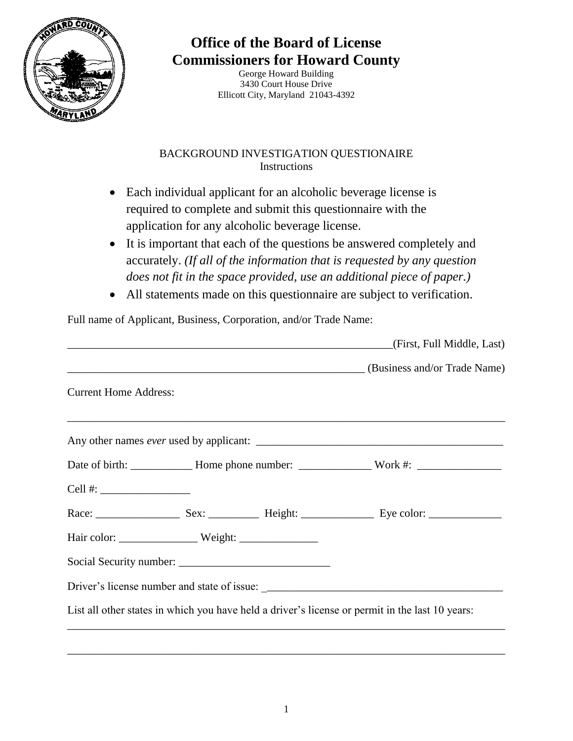

## **Office of the Board of License Commissioners for Howard County**

George Howard Building 3430 Court House Drive Ellicott City, Maryland 21043-4392

## BACKGROUND INVESTIGATION QUESTIONAIRE Instructions

- Each individual applicant for an alcoholic beverage license is required to complete and submit this questionnaire with the application for any alcoholic beverage license.
- It is important that each of the questions be answered completely and accurately. *(If all of the information that is requested by any question does not fit in the space provided, use an additional piece of paper.)*
- All statements made on this questionnaire are subject to verification.

Full name of Applicant, Business, Corporation, and/or Trade Name:

|                                                                                                                                                                                                                                                                                                       |  |  | (First, Full Middle, Last)                                                                      |
|-------------------------------------------------------------------------------------------------------------------------------------------------------------------------------------------------------------------------------------------------------------------------------------------------------|--|--|-------------------------------------------------------------------------------------------------|
|                                                                                                                                                                                                                                                                                                       |  |  | (Business and/or Trade Name) (Business and Trade Name)                                          |
| <b>Current Home Address:</b>                                                                                                                                                                                                                                                                          |  |  |                                                                                                 |
|                                                                                                                                                                                                                                                                                                       |  |  |                                                                                                 |
|                                                                                                                                                                                                                                                                                                       |  |  |                                                                                                 |
| Cell #: $\frac{1}{2}$ = $\frac{1}{2}$ = $\frac{1}{2}$ = $\frac{1}{2}$ = $\frac{1}{2}$ = $\frac{1}{2}$ = $\frac{1}{2}$ = $\frac{1}{2}$ = $\frac{1}{2}$ = $\frac{1}{2}$ = $\frac{1}{2}$ = $\frac{1}{2}$ = $\frac{1}{2}$ = $\frac{1}{2}$ = $\frac{1}{2}$ = $\frac{1}{2}$ = $\frac{1}{2}$ = $\frac{1}{2}$ |  |  |                                                                                                 |
|                                                                                                                                                                                                                                                                                                       |  |  |                                                                                                 |
|                                                                                                                                                                                                                                                                                                       |  |  |                                                                                                 |
|                                                                                                                                                                                                                                                                                                       |  |  |                                                                                                 |
|                                                                                                                                                                                                                                                                                                       |  |  |                                                                                                 |
|                                                                                                                                                                                                                                                                                                       |  |  | List all other states in which you have held a driver's license or permit in the last 10 years: |

\_\_\_\_\_\_\_\_\_\_\_\_\_\_\_\_\_\_\_\_\_\_\_\_\_\_\_\_\_\_\_\_\_\_\_\_\_\_\_\_\_\_\_\_\_\_\_\_\_\_\_\_\_\_\_\_\_\_\_\_\_\_\_\_\_\_\_\_\_\_\_\_\_\_\_\_\_\_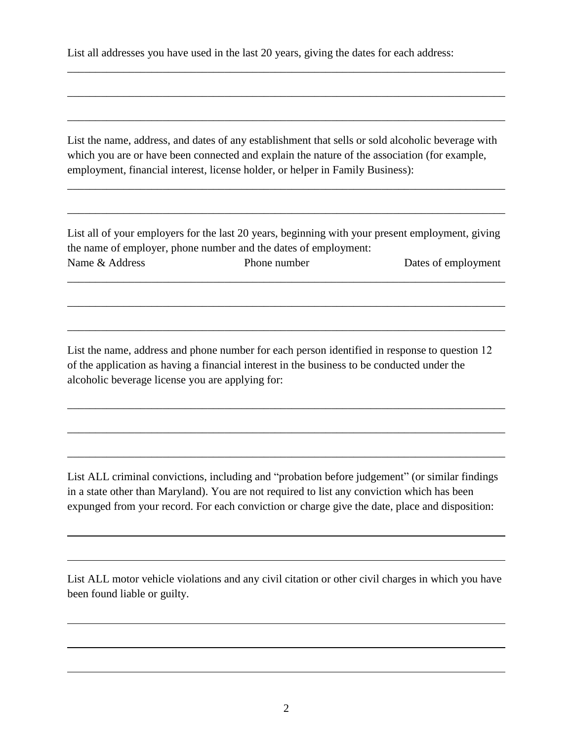List all addresses you have used in the last 20 years, giving the dates for each address:

List the name, address, and dates of any establishment that sells or sold alcoholic beverage with which you are or have been connected and explain the nature of the association (for example, employment, financial interest, license holder, or helper in Family Business):

\_\_\_\_\_\_\_\_\_\_\_\_\_\_\_\_\_\_\_\_\_\_\_\_\_\_\_\_\_\_\_\_\_\_\_\_\_\_\_\_\_\_\_\_\_\_\_\_\_\_\_\_\_\_\_\_\_\_\_\_\_\_\_\_\_\_\_\_\_\_\_\_\_\_\_\_\_\_

\_\_\_\_\_\_\_\_\_\_\_\_\_\_\_\_\_\_\_\_\_\_\_\_\_\_\_\_\_\_\_\_\_\_\_\_\_\_\_\_\_\_\_\_\_\_\_\_\_\_\_\_\_\_\_\_\_\_\_\_\_\_\_\_\_\_\_\_\_\_\_\_\_\_\_\_\_\_

\_\_\_\_\_\_\_\_\_\_\_\_\_\_\_\_\_\_\_\_\_\_\_\_\_\_\_\_\_\_\_\_\_\_\_\_\_\_\_\_\_\_\_\_\_\_\_\_\_\_\_\_\_\_\_\_\_\_\_\_\_\_\_\_\_\_\_\_\_\_\_\_\_\_\_\_\_\_

\_\_\_\_\_\_\_\_\_\_\_\_\_\_\_\_\_\_\_\_\_\_\_\_\_\_\_\_\_\_\_\_\_\_\_\_\_\_\_\_\_\_\_\_\_\_\_\_\_\_\_\_\_\_\_\_\_\_\_\_\_\_\_\_\_\_\_\_\_\_\_\_\_\_\_\_\_\_

\_\_\_\_\_\_\_\_\_\_\_\_\_\_\_\_\_\_\_\_\_\_\_\_\_\_\_\_\_\_\_\_\_\_\_\_\_\_\_\_\_\_\_\_\_\_\_\_\_\_\_\_\_\_\_\_\_\_\_\_\_\_\_\_\_\_\_\_\_\_\_\_\_\_\_\_\_\_

List all of your employers for the last 20 years, beginning with your present employment, giving the name of employer, phone number and the dates of employment: Name & Address Phone number Dates of employment

\_\_\_\_\_\_\_\_\_\_\_\_\_\_\_\_\_\_\_\_\_\_\_\_\_\_\_\_\_\_\_\_\_\_\_\_\_\_\_\_\_\_\_\_\_\_\_\_\_\_\_\_\_\_\_\_\_\_\_\_\_\_\_\_\_\_\_\_\_\_\_\_\_\_\_\_\_\_

\_\_\_\_\_\_\_\_\_\_\_\_\_\_\_\_\_\_\_\_\_\_\_\_\_\_\_\_\_\_\_\_\_\_\_\_\_\_\_\_\_\_\_\_\_\_\_\_\_\_\_\_\_\_\_\_\_\_\_\_\_\_\_\_\_\_\_\_\_\_\_\_\_\_\_\_\_\_

\_\_\_\_\_\_\_\_\_\_\_\_\_\_\_\_\_\_\_\_\_\_\_\_\_\_\_\_\_\_\_\_\_\_\_\_\_\_\_\_\_\_\_\_\_\_\_\_\_\_\_\_\_\_\_\_\_\_\_\_\_\_\_\_\_\_\_\_\_\_\_\_\_\_\_\_\_\_

List the name, address and phone number for each person identified in response to question 12 of the application as having a financial interest in the business to be conducted under the alcoholic beverage license you are applying for:

\_\_\_\_\_\_\_\_\_\_\_\_\_\_\_\_\_\_\_\_\_\_\_\_\_\_\_\_\_\_\_\_\_\_\_\_\_\_\_\_\_\_\_\_\_\_\_\_\_\_\_\_\_\_\_\_\_\_\_\_\_\_\_\_\_\_\_\_\_\_\_\_\_\_\_\_\_\_

\_\_\_\_\_\_\_\_\_\_\_\_\_\_\_\_\_\_\_\_\_\_\_\_\_\_\_\_\_\_\_\_\_\_\_\_\_\_\_\_\_\_\_\_\_\_\_\_\_\_\_\_\_\_\_\_\_\_\_\_\_\_\_\_\_\_\_\_\_\_\_\_\_\_\_\_\_\_

\_\_\_\_\_\_\_\_\_\_\_\_\_\_\_\_\_\_\_\_\_\_\_\_\_\_\_\_\_\_\_\_\_\_\_\_\_\_\_\_\_\_\_\_\_\_\_\_\_\_\_\_\_\_\_\_\_\_\_\_\_\_\_\_\_\_\_\_\_\_\_\_\_\_\_\_\_\_

List ALL criminal convictions, including and "probation before judgement" (or similar findings in a state other than Maryland). You are not required to list any conviction which has been expunged from your record. For each conviction or charge give the date, place and disposition:

List ALL motor vehicle violations and any civil citation or other civil charges in which you have been found liable or guilty.